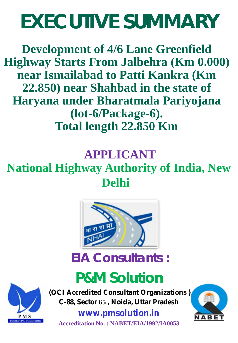# **EXECUTIVE SUMMARY**

**Development of 4/6 Lane Greenfield Highway Starts From Jalbehra (Km 0.000) near Ismailabad to Patti Kankra (Km 22.850) near Shahbad in the state of Haryana under Bharatmala Pariyojana (lot-6/Package-6). Total length 22.850 Km**

### **APPLICANT**

### **National Highway Authority of India, New Delhi**



### **EIA Consultants :**

## **P&M Solution**

**ERVING TOMORROW** 

**(OCI Accredited Consultant Organizations ) C-88, Sector 65 , Noida, Uttar Pradesh**

**www.pmsolution.in Accreditation No. : NABET/EIA/1992/IA0053**

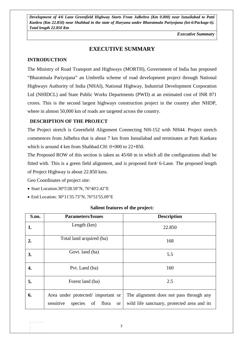*Executive Summary*

#### **EXECUTIVE SUMMARY**

#### **INTRODUCTION**

The Ministry of Road Transport and Highways (MORTH), Government of India has proposed "Bharatmala Pariyojana" an Umbrella scheme of road development project through National Highways Authority of India (NHAI), National Highway, Industrial Development Corporation Ltd (NHIDCL) and State Public Works Departments (PWD) at an estimated cost of INR 871 crores. This is the second largest highways construction project in the country after NHDP, where in almost 50,000 km of roads are targeted across the country.

#### **DESCRIPTION OF THE PROJECT**

The Project stretch is Greenfield Alignment Connecting NH-152 with NH44. Project stretch commences from Jalbehra that is about 7 km from Ismailabad and terminates at Patti Kankara which is around 4 km from Shahbad.CH: 0+000 to 22+850.

The Proposed ROW of this section is taken as 45/60 m in which all the configurations shall be fitted with. This is a green field alignment, and is proposed for4/ 6-Lane. The proposed length of Project Highway is about 22.850 kms.

Geo Coordinates of project site:

- Start Location:30°5'28.59"N, 76°40'2.42"E
- End Location: 30°11'35.73"N, 76°51'55.09"E

#### **Salient features of the project:**

| S.no. | <b>Parameters/Issues</b>                             | <b>Description</b>                          |
|-------|------------------------------------------------------|---------------------------------------------|
| 1.    | Length $(km)$                                        | 22.850                                      |
| 2.    | Total land acquired (ha)                             | 168                                         |
| 3.    | Govt. land (ha)                                      | 5.5                                         |
| 4.    | Pvt. Land (ha)                                       | 160                                         |
| 5.    | Forest land (ha)                                     | 2.5                                         |
| 6.    | Area under protected/ important or                   | The alignment does not pass through any     |
|       | sensitive<br>species<br>of<br>flora<br><sub>or</sub> | wild life sanctuary, protected area and its |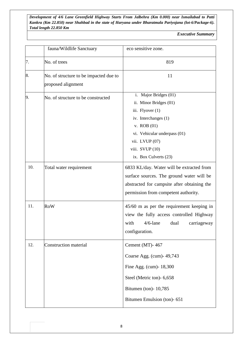*Executive Summary*

|     | fauna/Wildlife Sanctuary                                     | eco sensitive zone.                                                                                                                                                                                        |
|-----|--------------------------------------------------------------|------------------------------------------------------------------------------------------------------------------------------------------------------------------------------------------------------------|
| 7.  | No. of trees                                                 | 819                                                                                                                                                                                                        |
| 8.  | No. of structure to be impacted due to<br>proposed alignment | 11                                                                                                                                                                                                         |
| 9.  | No. of structure to be constructed                           | i. Major Bridges (01)<br>ii. Minor Bridges (01)<br>iii. Flyover (1)<br>iv. Interchanges (1)<br>v. ROB $(01)$<br>vi. Vehicular underpass (01)<br>vii. LVUP (07)<br>viii. SVUP (10)<br>ix. Box Culverts (23) |
| 10. | Total water requirement                                      | 6833 KL/day. Water will be extracted from<br>surface sources. The ground water will be<br>abstracted for campsite after obtaining the<br>permission from competent authority.                              |
| 11. | <b>RoW</b>                                                   | 45/60 m as per the requirement keeping in<br>view the fully access controlled Highway<br>with<br>$4/6$ -lane<br>carriageway<br>dual<br>configuration.                                                      |
| 12. | <b>Construction material</b>                                 | Cement (MT)-467<br>Coarse Agg. (cum)- 49,743<br>Fine Agg. (cum)- 18,300<br>Steel (Metric ton)- 6,658<br>Bitumen (ton)- 10,785<br>Bitumen Emulsion (ton)- 651                                               |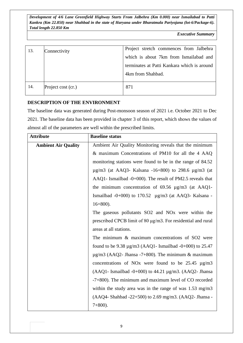*Executive Summary*

| 13. | Connectivity       | Project stretch commences from Jalbehra<br>which is about 7km from Ismailabad and<br>terminates at Patti Kankara which is around<br>4km from Shahbad. |
|-----|--------------------|-------------------------------------------------------------------------------------------------------------------------------------------------------|
| 14. | Project cost (cr.) | 871                                                                                                                                                   |

#### **DESCRIPTION OF THE ENVIRONMENT**

The baseline data was generated during Post-monsoon season of 2021 i.e. October 2021 to Dec 2021. The baseline data has been provided in chapter 3 of this report, which shows the values of almost all of the parameters are well within the prescribed limits.

| <b>Attribute</b>           | <b>Baseline status</b>                                              |
|----------------------------|---------------------------------------------------------------------|
| <b>Ambient Air Quality</b> | Ambient Air Quality Monitoring reveals that the minimum             |
|                            | & maximum Concentrations of PM10 for all the 4 AAQ                  |
|                            | monitoring stations were found to be in the range of 84.52          |
|                            | $\mu$ g/m3 (at AAQ3- Kalsana -16+800) to 298.6 $\mu$ g/m3 (at       |
|                            | AAQ1- Ismailbad -0+000). The result of PM2.5 reveals that           |
|                            | the minimum concentration of $69.56 \mu g/m3$ (at AAQ1-             |
|                            | Ismailbad -0+000) to 170.52 $\mu$ g/m3 (at AAQ3- Kalsana -          |
|                            | $16+800$ ).                                                         |
|                            | The gaseous pollutants SO2 and NO <sub>x</sub> were within the      |
|                            | prescribed CPCB limit of 80 µg/m3. For residential and rural        |
|                            | areas at all stations.                                              |
|                            | The minimum & maximum concentrations of SO2 were                    |
|                            | found to be 9.38 $\mu$ g/m3 (AAQ1- Ismailbad -0+000) to 25.47       |
|                            | $\mu$ g/m3 (AAQ2- Jhansa -7+800). The minimum & maximum             |
|                            | concentrations of NO <sub>x</sub> were found to be $25.45 \mu g/m3$ |
|                            | $(AAQ1 - Ismailbad -0+000)$ to 44.21 $\mu$ g/m3. (AAQ2- Jhansa      |
|                            | $-7+800$ ). The minimum and maximum level of CO recorded            |
|                            | within the study area was in the range of was $1.53 \text{ mg/m}$   |
|                            | $(AAQ4 - Shahbad -22+500)$ to 2.69 mg/m3. $(AAQ2 - Jhansa -$        |
|                            | $7+800$ ).                                                          |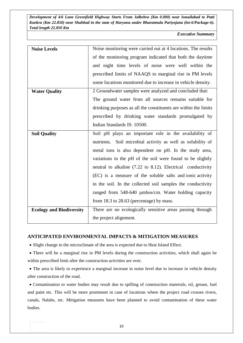*Executive Summary*

| <b>Noise Levels</b>             | Noise monitoring were carried out at 4 locations. The results   |
|---------------------------------|-----------------------------------------------------------------|
|                                 | of the monitoring program indicated that both the daytime       |
|                                 | and night time levels of noise were well within the             |
|                                 | prescribed limits of NAAQS to marginal rise in PM levels        |
|                                 | some locations monitored due to increase in vehicle density.    |
| <b>Water Quality</b>            | 2 Groundwater samples were analyzed and concluded that:         |
|                                 | The ground water from all sources remains suitable for          |
|                                 | drinking purposes as all the constituents are within the limits |
|                                 | prescribed by drinking water standards promulgated by           |
|                                 | Indian Standards IS: 10500.                                     |
| <b>Soil Quality</b>             | Soil pH plays an important role in the availability of          |
|                                 | nutrients. Soil microbial activity as well as solubility of     |
|                                 | metal ions is also dependent on pH. In the study area,          |
|                                 | variations in the pH of the soil were found to be slightly      |
|                                 | neutral to alkaline (7.22 to 8.12). Electrical conductivity     |
|                                 | (EC) is a measure of the soluble salts and ionic activity       |
|                                 | in the soil. In the collected soil samples the conductivity     |
|                                 | ranged from 548-640 µmhos/cm. Water holding capacity            |
|                                 | from $18.3$ to $28.63$ (percentage) by mass.                    |
| <b>Ecology and Biodiversity</b> | There are no ecologically sensitive areas passing through       |
|                                 | the project alignment.                                          |

#### **ANTICIPATED ENVIRONMENTAL IMPACTS & MITIGATION MEASURES**

• Slight change in the microclimate of the area is expected due to Heat Island Effect.

• There will be a marginal rise in PM levels during the construction activities, which shall again be within prescribed limit after the construction activities are over.

• The area is likely to experience a marginal increase in noise level due to increase in vehicle density after construction of the road.

• Contamination to water bodies may result due to spilling of construction materials, oil, grease, fuel and paint etc. This will be more prominent in case of locations where the project road crosses rivers, canals, Nalahs, etc. Mitigation measures have been planned to avoid contamination of these water bodies.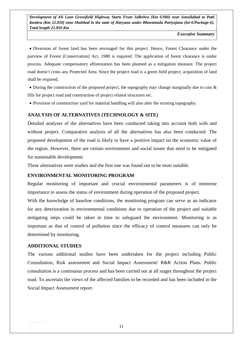*Executive Summary*

• Diversion of forest land has been envisaged for this project. Hence, Forest Clearance under the purview of Forest (Conservation) Act, 1980 is required. The application of forest clearance is under process. Adequate compensatory afforestation has been planned as a mitigation measure. The project road doesn't cross any Protected Area. Since the project road is a green field project, acquisition of land shall be required.

• During the construction of the proposed project, the topography may change marginally due to cuts  $\&$ fills for project road and construction of project related structures etc.

• Provision of construction yard for material handling will also alter the existing topography.

#### **ANALYSIS OF ALTERNATIVES (TECHNOLOGY & SITE)**

Detailed analyses of the alternatives have been conducted taking into account both with and without project. Comparative analysis of all the alternatives has also been conducted. The proposed development of the road is likely to have a positive impact on the economic value of the region. However, there are certain environment and social issues that need to be mitigated for sustainable development.

Three alternatives were studies and the first one was found out to be most suitable.

#### **ENVIRONMENTAL MONITORING PROGRAM**

Regular monitoring of important and crucial environmental parameters is of immense importance to assess the status of environment during operation of the proposed project.

With the knowledge of baseline conditions, the monitoring program can serve as an indicator for any deterioration in environmental conditions due to operation of the project and suitable mitigating steps could be taken in time to safeguard the environment. Monitoring is as important as that of control of pollution since the efficacy of control measures can only be determined by monitoring.

#### **ADDITIONAL STUDIES**

The various additional studies have been undertaken for the project including Public Consultation, Risk assessment and Social Impact Assessment/ R&R Action Plans. Public consultation is a continuous process and has been carried out at all stages throughout the project road. To ascertain the views of the affected families to be recorded and has been included in the Social Impact Assessment report.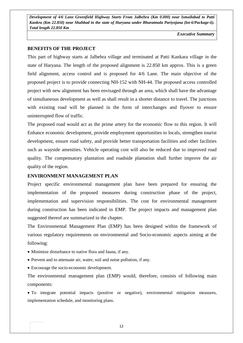*Executive Summary*

#### **BENEFITS OF THE PROJECT**

This part of highway starts at Jalbehra village and terminated at Patti Kankara village in the state of Haryana. The length of the proposed alignment is 22.850 km approx. This is a green field alignment, access control and is proposed for 4/6 Lane. The main objective of the proposed project is to provide connecting NH-152 with NH-44. The proposed access controlled project with new alignment has been envisaged through an area, which shall have the advantage of simultaneous development as well as shall result in a shorter distance to travel. The junctions with existing road will be planned in the form of interchanges and flyover to ensure uninterrupted flow of traffic.

The proposed road would act as the prime artery for the economic flow to this region. It will Enhance economic development, provide employment opportunities to locals, strengthen tourist development, ensure road safety, and provide better transportation facilities and other facilities such as wayside amenities. Vehicle operating cost will also be reduced due to improved road quality. The compensatory plantation and roadside plantation shall further improve the air quality of the region.

#### **ENVIRONMENT MANAGEMENT PLAN**

Project specific environmental management plan have been prepared for ensuring the implementation of the proposed measures during construction phase of the project, implementation and supervision responsibilities. The cost for environmental management during construction has been indicated in EMP. The project impacts and management plan suggested thereof are summarized in the chapter.

The Environmental Management Plan (EMP) has been designed within the framework of various regulatory requirements on environmental and Socio-economic aspects aiming at the following:

- Minimize disturbance to native flora and fauna, if any.
- Prevent and to attenuate air, water, soil and noise pollution, if any.
- Encourage the socio-economic development.

The environmental management plan (EMP) would, therefore, consists of following main components:

• To integrate potential impacts (positive or negative), environmental mitigation measures, implementation schedule, and monitoring plans.